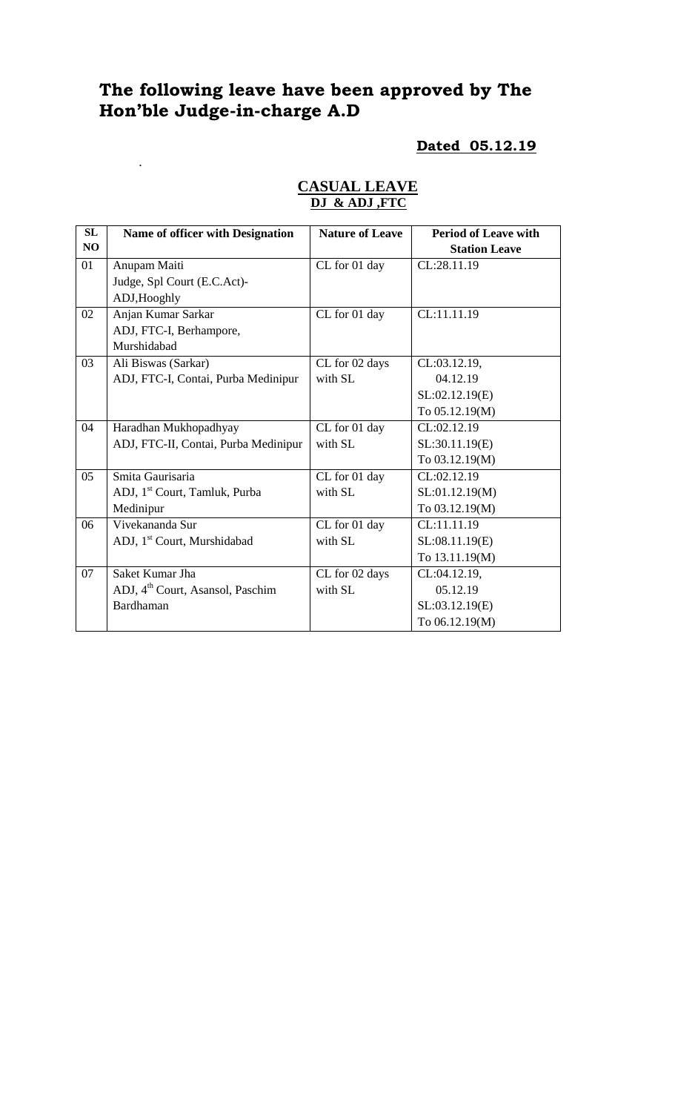# **The following leave have been approved by The Hon'ble Judge-in-charge A.D**

.

## **Dated 05.12.19**

| SL | Name of officer with Designation             | <b>Nature of Leave</b> | <b>Period of Leave with</b> |
|----|----------------------------------------------|------------------------|-----------------------------|
| NO |                                              |                        | <b>Station Leave</b>        |
| 01 | Anupam Maiti                                 | CL for 01 day          | CL:28.11.19                 |
|    | Judge, Spl Court (E.C.Act)-                  |                        |                             |
|    | ADJ, Hooghly                                 |                        |                             |
| 02 | Anjan Kumar Sarkar                           | CL for 01 day          | CL:11.11.19                 |
|    | ADJ, FTC-I, Berhampore,                      |                        |                             |
|    | Murshidabad                                  |                        |                             |
| 03 | Ali Biswas (Sarkar)                          | CL for 02 days         | CL:03.12.19,                |
|    | ADJ, FTC-I, Contai, Purba Medinipur          | with SL                | 04.12.19                    |
|    |                                              |                        | SL:02.12.19(E)              |
|    |                                              |                        | To 05.12.19(M)              |
| 04 | Haradhan Mukhopadhyay                        | CL for 01 day          | CL:02.12.19                 |
|    | ADJ, FTC-II, Contai, Purba Medinipur         | with SL                | SL:30.11.19(E)              |
|    |                                              |                        | To 03.12.19(M)              |
| 05 | Smita Gaurisaria                             | CL for 01 day          | CL:02.12.19                 |
|    | ADJ, 1 <sup>st</sup> Court, Tamluk, Purba    | with SL                | SL:01.12.19(M)              |
|    | Medinipur                                    |                        | To 03.12.19(M)              |
| 06 | Vivekananda Sur                              | CL for 01 day          | CL:11.11.19                 |
|    | ADJ, 1 <sup>st</sup> Court, Murshidabad      | with SL                | SL:08.11.19(E)              |
|    |                                              |                        | To 13.11.19(M)              |
| 07 | Saket Kumar Jha                              | CL for 02 days         | CL:04.12.19,                |
|    | ADJ, 4 <sup>th</sup> Court, Asansol, Paschim | with SL                | 05.12.19                    |
|    | <b>Bardhaman</b>                             |                        | SL:03.12.19(E)              |
|    |                                              |                        | To 06.12.19(M)              |

# **CASUAL LEAVE DJ & ADJ ,FTC**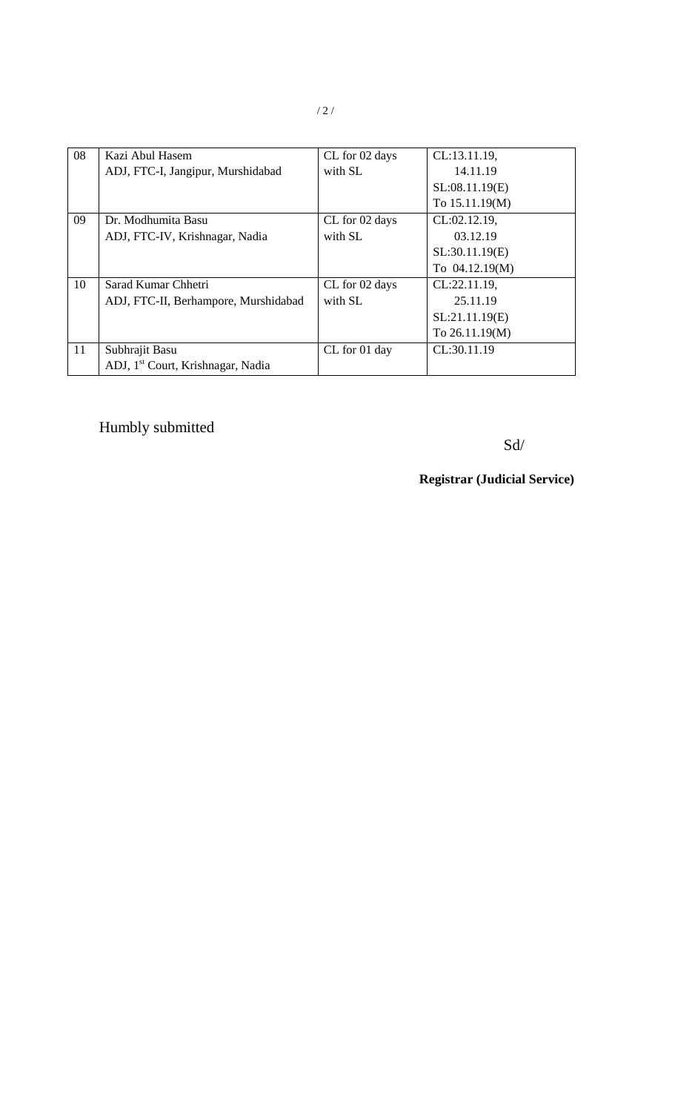| 08 | Kazi Abul Hasem                               | CL for 02 days | CL:13.11.19,   |
|----|-----------------------------------------------|----------------|----------------|
|    | ADJ, FTC-I, Jangipur, Murshidabad             | with SL        | 14.11.19       |
|    |                                               |                | SL:08.11.19(E) |
|    |                                               |                | To 15.11.19(M) |
| 09 | Dr. Modhumita Basu                            | CL for 02 days | CL:02.12.19,   |
|    | ADJ, FTC-IV, Krishnagar, Nadia                | with SL        | 03.12.19       |
|    |                                               |                | SL:30.11.19(E) |
|    |                                               |                | To 04.12.19(M) |
| 10 | Sarad Kumar Chhetri                           | CL for 02 days | CL:22.11.19,   |
|    | ADJ, FTC-II, Berhampore, Murshidabad          | with SL        | 25.11.19       |
|    |                                               |                | SL:21.11.19(E) |
|    |                                               |                | To 26.11.19(M) |
| 11 | Subhrajit Basu                                | CL for 01 day  | CL:30.11.19    |
|    | ADJ, 1 <sup>st</sup> Court, Krishnagar, Nadia |                |                |

# Humbly submitted

Sd/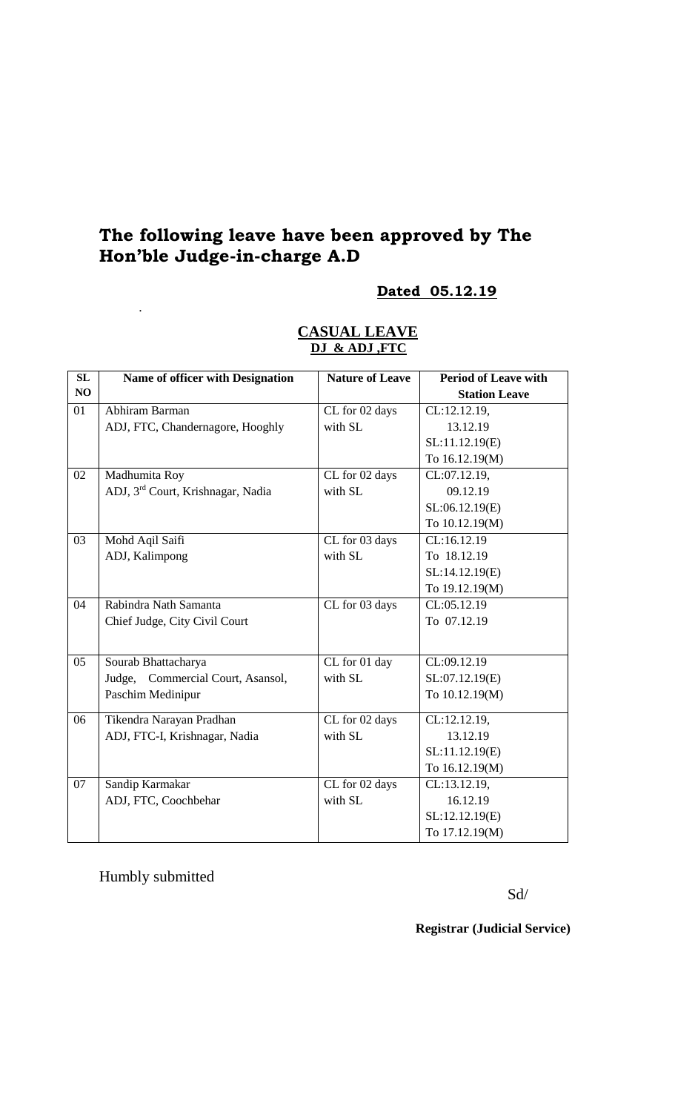# **The following leave have been approved by The Hon'ble Judge-in-charge A.D**

# **Dated 05.12.19**

### **CASUAL LEAVE DJ & ADJ ,FTC**

| SL              | <b>Name of officer with Designation</b>       | <b>Nature of Leave</b> | <b>Period of Leave with</b> |
|-----------------|-----------------------------------------------|------------------------|-----------------------------|
| NO              |                                               |                        | <b>Station Leave</b>        |
| 01              | Abhiram Barman                                | CL for 02 days         | CL:12.12.19,                |
|                 | ADJ, FTC, Chandernagore, Hooghly              | with SL                | 13.12.19                    |
|                 |                                               |                        | SL:11.12.19(E)              |
|                 |                                               |                        | To 16.12.19(M)              |
| 02              | Madhumita Roy                                 | CL for 02 days         | CL:07.12.19,                |
|                 | ADJ, 3 <sup>rd</sup> Court, Krishnagar, Nadia | with SL                | 09.12.19                    |
|                 |                                               |                        | SL:06.12.19(E)              |
|                 |                                               |                        | To 10.12.19(M)              |
| $\overline{03}$ | Mohd Aqil Saifi                               | CL for 03 days         | CL:16.12.19                 |
|                 | ADJ, Kalimpong                                | with SL                | To 18.12.19                 |
|                 |                                               |                        | SL:14.12.19(E)              |
|                 |                                               |                        | To 19.12.19(M)              |
| 04              | Rabindra Nath Samanta                         | CL for 03 days         | CL:05.12.19                 |
|                 | Chief Judge, City Civil Court                 |                        | To 07.12.19                 |
|                 |                                               |                        |                             |
| 05              | Sourab Bhattacharya                           | CL for 01 day          | CL:09.12.19                 |
|                 | Judge, Commercial Court, Asansol,             | with SL                | SL:07.12.19(E)              |
|                 | Paschim Medinipur                             |                        | To 10.12.19(M)              |
| 06              | Tikendra Narayan Pradhan                      | CL for 02 days         | CL:12.12.19,                |
|                 | ADJ, FTC-I, Krishnagar, Nadia                 | with SL                | 13.12.19                    |
|                 |                                               |                        | SL:11.12.19(E)              |
|                 |                                               |                        | To 16.12.19(M)              |
| 07              | Sandip Karmakar                               | CL for 02 days         | CL:13.12.19,                |
|                 | ADJ, FTC, Coochbehar                          | with SL                | 16.12.19                    |
|                 |                                               |                        | SL:12.12.19(E)              |
|                 |                                               |                        | To 17.12.19(M)              |

Humbly submitted

.

Sd/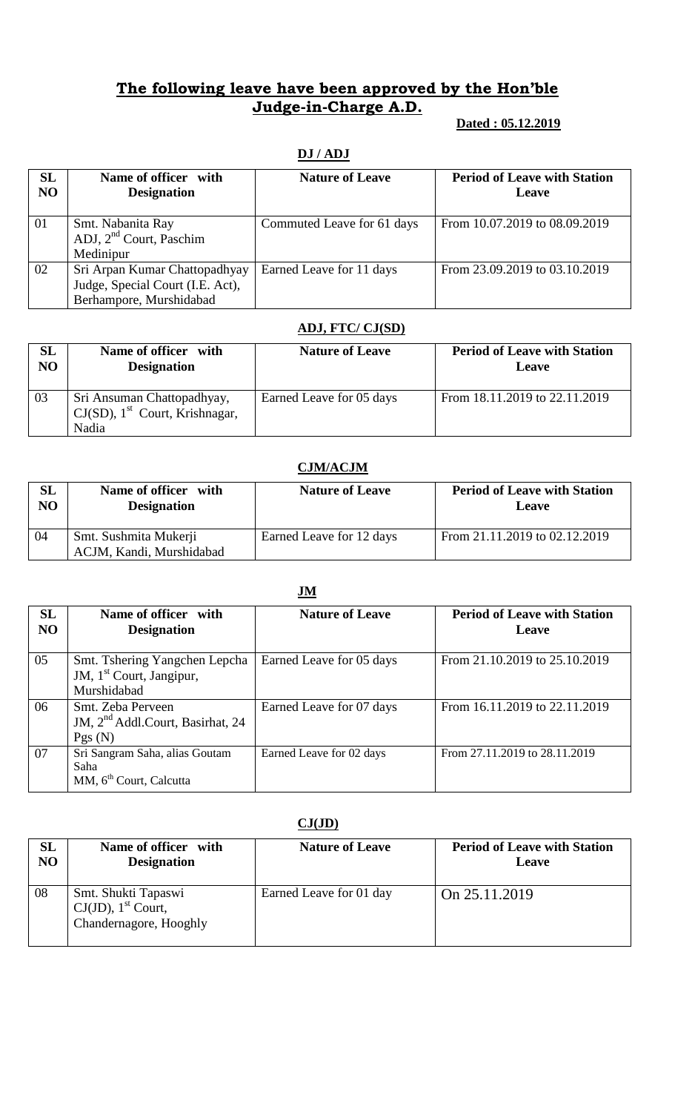# **The following leave have been approved by the Hon'ble Judge-in-Charge A.D.**

## **Dated : 05.12.2019**

| <b>SL</b><br>N <sub>O</sub> | Name of officer with<br><b>Designation</b>                                                   | <b>Nature of Leave</b>     | <b>Period of Leave with Station</b><br><b>Leave</b> |
|-----------------------------|----------------------------------------------------------------------------------------------|----------------------------|-----------------------------------------------------|
| 01                          | Smt. Nabanita Ray<br>ADJ, $2nd$ Court, Paschim<br>Medinipur                                  | Commuted Leave for 61 days | From 10.07.2019 to 08.09.2019                       |
| 02                          | Sri Arpan Kumar Chattopadhyay<br>Judge, Special Court (I.E. Act),<br>Berhampore, Murshidabad | Earned Leave for 11 days   | From 23.09.2019 to 03.10.2019                       |

# **DJ / ADJ**

### **ADJ, FTC/ CJ(SD)**

| SL | Name of officer with                                                                 | <b>Nature of Leave</b>   | <b>Period of Leave with Station</b> |
|----|--------------------------------------------------------------------------------------|--------------------------|-------------------------------------|
| NO | <b>Designation</b>                                                                   |                          | Leave                               |
| 03 | Sri Ansuman Chattopadhyay,<br>$CJ(SD)$ , 1 <sup>st</sup> Court, Krishnagar,<br>Nadia | Earned Leave for 05 days | From 18.11.2019 to 22.11.2019       |

#### **CJM/ACJM**

| $\mathbf{SL}$ | Name of officer with                              | <b>Nature of Leave</b>   | <b>Period of Leave with Station</b> |
|---------------|---------------------------------------------------|--------------------------|-------------------------------------|
| NO            | <b>Designation</b>                                |                          | Leave                               |
| 04            | Smt. Sushmita Mukerji<br>ACJM, Kandi, Murshidabad | Earned Leave for 12 days | From 21.11.2019 to 02.12.2019       |

|                      | $\mathbf{u}$                                                                         |                          |                                              |  |  |
|----------------------|--------------------------------------------------------------------------------------|--------------------------|----------------------------------------------|--|--|
| SL<br>N <sub>O</sub> | Name of officer with<br><b>Designation</b>                                           | <b>Nature of Leave</b>   | <b>Period of Leave with Station</b><br>Leave |  |  |
| 05                   | Smt. Tshering Yangchen Lepcha<br>JM, 1 <sup>st</sup> Court, Jangipur,<br>Murshidabad | Earned Leave for 05 days | From 21.10.2019 to 25.10.2019                |  |  |
| 06                   | Smt. Zeba Perveen<br>JM, 2 <sup>nd</sup> Addl.Court, Basirhat, 24<br>Pgs(N)          | Earned Leave for 07 days | From 16.11.2019 to 22.11.2019                |  |  |
| 07                   | Sri Sangram Saha, alias Goutam<br>Saha<br>MM, 6 <sup>th</sup> Court, Calcutta        | Earned Leave for 02 days | From 27.11.2019 to 28.11.2019                |  |  |

## **CJ(JD)**

| SL | Name of officer with                                                               | <b>Nature of Leave</b>  | <b>Period of Leave with Station</b> |
|----|------------------------------------------------------------------------------------|-------------------------|-------------------------------------|
| NO | <b>Designation</b>                                                                 |                         | <b>Leave</b>                        |
| 08 | Smt. Shukti Tapaswi<br>$CJ(JD)$ , 1 <sup>st</sup> Court,<br>Chandernagore, Hooghly | Earned Leave for 01 day | On 25.11.2019                       |

# **JM**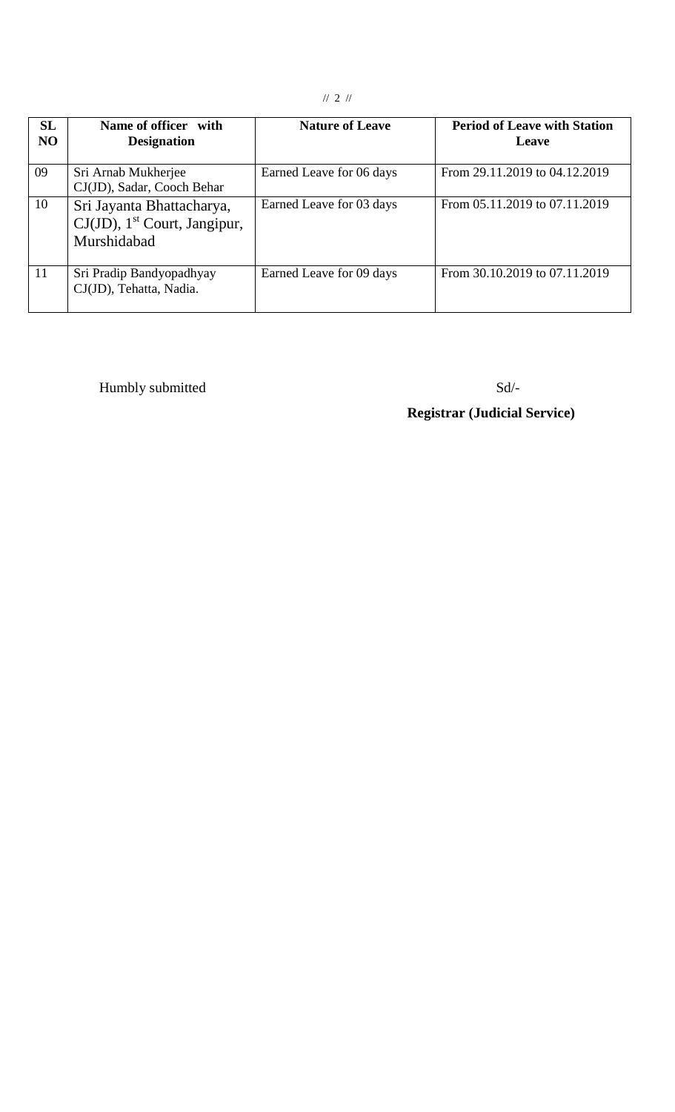| <b>SL</b><br>N <sub>O</sub> | Name of officer with<br><b>Designation</b>                                              | <b>Nature of Leave</b>   | <b>Period of Leave with Station</b><br>Leave |
|-----------------------------|-----------------------------------------------------------------------------------------|--------------------------|----------------------------------------------|
| 09                          | Sri Arnab Mukherjee<br>CJ(JD), Sadar, Cooch Behar                                       | Earned Leave for 06 days | From 29.11.2019 to 04.12.2019                |
| 10                          | Sri Jayanta Bhattacharya,<br>$CJ(JD)$ , 1 <sup>st</sup> Court, Jangipur,<br>Murshidabad | Earned Leave for 03 days | From 05.11.2019 to 07.11.2019                |
| 11                          | Sri Pradip Bandyopadhyay<br>CJ(JD), Tehatta, Nadia.                                     | Earned Leave for 09 days | From 30.10.2019 to 07.11.2019                |

Humbly submitted Sd/-